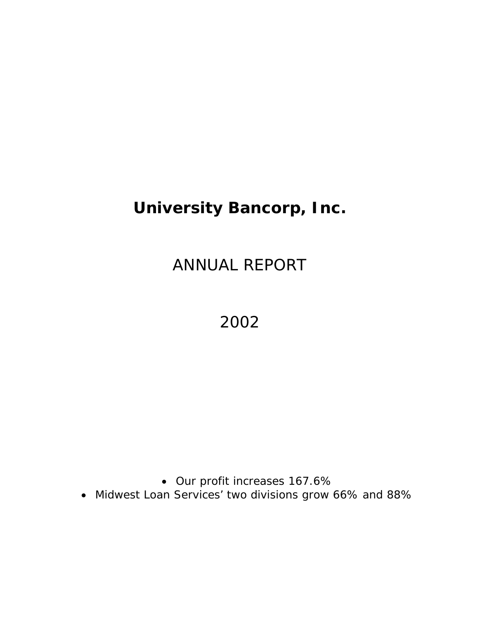# **University Bancorp, Inc.**

ANNUAL REPORT

2002

• Our profit increases 167.6%

• Midwest Loan Services' two divisions grow 66% and 88%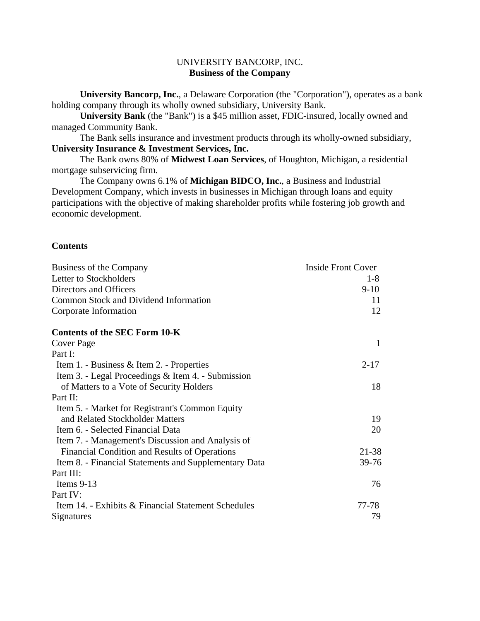# UNIVERSITY BANCORP, INC. **Business of the Company**

**University Bancorp, Inc.**, a Delaware Corporation (the "Corporation"), operates as a bank holding company through its wholly owned subsidiary, University Bank.

**University Bank** (the "Bank") is a \$45 million asset, FDIC-insured, locally owned and managed Community Bank.

 The Bank sells insurance and investment products through its wholly-owned subsidiary, **University Insurance & Investment Services, Inc.**

 The Bank owns 80% of **Midwest Loan Services**, of Houghton, Michigan, a residential mortgage subservicing firm.

 The Company owns 6.1% of **Michigan BIDCO, Inc.**, a Business and Industrial Development Company, which invests in businesses in Michigan through loans and equity participations with the objective of making shareholder profits while fostering job growth and economic development.

# **Contents**

| Business of the Company                               | <b>Inside Front Cover</b> |
|-------------------------------------------------------|---------------------------|
| Letter to Stockholders                                | $1-8$                     |
| Directors and Officers                                | $9-10$                    |
| Common Stock and Dividend Information                 | 11                        |
| Corporate Information                                 | 12                        |
| <b>Contents of the SEC Form 10-K</b>                  |                           |
| Cover Page                                            | 1                         |
| Part I:                                               |                           |
| Item 1. - Business & Item 2. - Properties             | $2 - 17$                  |
| Item 3. - Legal Proceedings & Item 4. - Submission    |                           |
| of Matters to a Vote of Security Holders              | 18                        |
| Part II:                                              |                           |
| Item 5. - Market for Registrant's Common Equity       |                           |
| and Related Stockholder Matters                       | 19                        |
| Item 6. - Selected Financial Data                     | 20                        |
| Item 7. - Management's Discussion and Analysis of     |                           |
| Financial Condition and Results of Operations         | 21-38                     |
| Item 8. - Financial Statements and Supplementary Data | $39 - 76$                 |
| Part III:                                             |                           |
| Items $9-13$                                          | 76                        |
| Part IV:                                              |                           |
| Item 14. - Exhibits & Financial Statement Schedules   | 77-78                     |
| Signatures                                            | 79                        |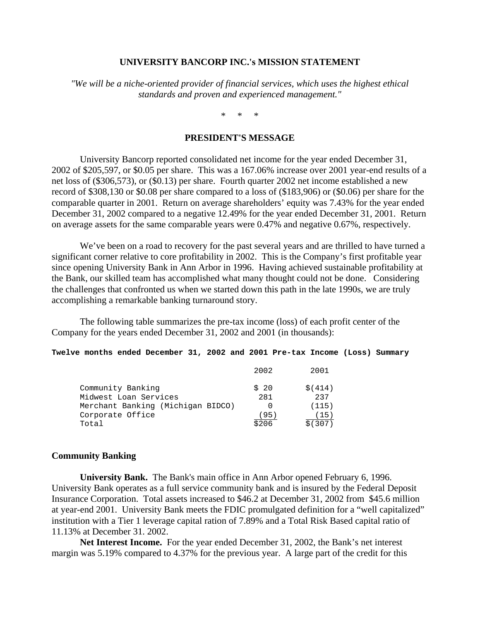### **UNIVERSITY BANCORP INC.'s MISSION STATEMENT**

*"We will be a niche-oriented provider of financial services, which uses the highest ethical standards and proven and experienced management."* 

\* \* \*

## **PRESIDENT'S MESSAGE**

 University Bancorp reported consolidated net income for the year ended December 31, 2002 of \$205,597, or \$0.05 per share. This was a 167.06% increase over 2001 year-end results of a net loss of (\$306,573), or (\$0.13) per share. Fourth quarter 2002 net income established a new record of \$308,130 or \$0.08 per share compared to a loss of (\$183,906) or (\$0.06) per share for the comparable quarter in 2001. Return on average shareholders' equity was 7.43% for the year ended December 31, 2002 compared to a negative 12.49% for the year ended December 31, 2001. Return on average assets for the same comparable years were 0.47% and negative 0.67%, respectively.

We've been on a road to recovery for the past several years and are thrilled to have turned a significant corner relative to core profitability in 2002. This is the Company's first profitable year since opening University Bank in Ann Arbor in 1996. Having achieved sustainable profitability at the Bank, our skilled team has accomplished what many thought could not be done. Considering the challenges that confronted us when we started down this path in the late 1990s, we are truly accomplishing a remarkable banking turnaround story.

 The following table summarizes the pre-tax income (loss) of each profit center of the Company for the years ended December 31, 2002 and 2001 (in thousands):

#### **Twelve months ended December 31, 2002 and 2001 Pre-tax Income (Loss) Summary**

|                                   | 2002  | 2001     |
|-----------------------------------|-------|----------|
| Community Banking                 | \$20  | \$ (414) |
| Midwest Loan Services             | 281   | 237      |
| Merchant Banking (Michigan BIDCO) |       | (115)    |
| Corporate Office                  | 95    | 15.      |
| Total                             | \$206 | \$(307)  |

#### **Community Banking**

**University Bank.** The Bank's main office in Ann Arbor opened February 6, 1996. University Bank operates as a full service community bank and is insured by the Federal Deposit Insurance Corporation. Total assets increased to \$46.2 at December 31, 2002 from \$45.6 million at year-end 2001. University Bank meets the FDIC promulgated definition for a "well capitalized" institution with a Tier 1 leverage capital ration of 7.89% and a Total Risk Based capital ratio of 11.13% at December 31. 2002.

**Net Interest Income.** For the year ended December 31, 2002, the Bank's net interest margin was 5.19% compared to 4.37% for the previous year. A large part of the credit for this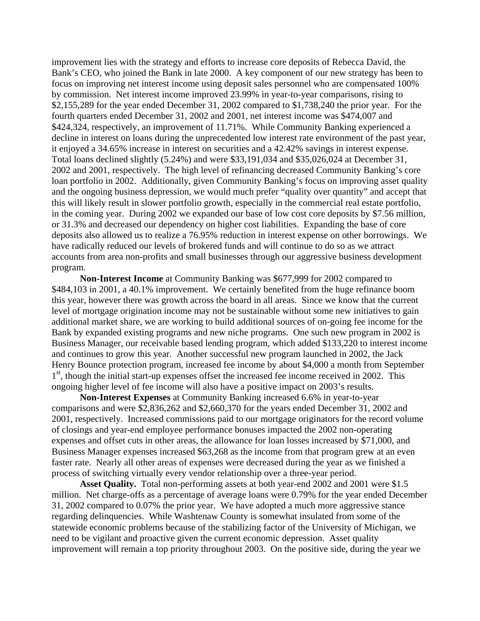improvement lies with the strategy and efforts to increase core deposits of Rebecca David, the Bank's CEO, who joined the Bank in late 2000. A key component of our new strategy has been to focus on improving net interest income using deposit sales personnel who are compensated 100% by commission. Net interest income improved 23.99% in year-to-year comparisons, rising to \$2,155,289 for the year ended December 31, 2002 compared to \$1,738,240 the prior year. For the fourth quarters ended December 31, 2002 and 2001, net interest income was \$474,007 and \$424,324, respectively, an improvement of 11.71%. While Community Banking experienced a decline in interest on loans during the unprecedented low interest rate environment of the past year, it enjoyed a 34.65% increase in interest on securities and a 42.42% savings in interest expense. Total loans declined slightly (5.24%) and were \$33,191,034 and \$35,026,024 at December 31, 2002 and 2001, respectively. The high level of refinancing decreased Community Banking's core loan portfolio in 2002. Additionally, given Community Banking's focus on improving asset quality and the ongoing business depression, we would much prefer "quality over quantity" and accept that this will likely result in slower portfolio growth, especially in the commercial real estate portfolio, in the coming year. During 2002 we expanded our base of low cost core deposits by \$7.56 million, or 31.3% and decreased our dependency on higher cost liabilities. Expanding the base of core deposits also allowed us to realize a 76.95% reduction in interest expense on other borrowings. We have radically reduced our levels of brokered funds and will continue to do so as we attract accounts from area non-profits and small businesses through our aggressive business development program.

**Non-Interest Income** at Community Banking was \$677,999 for 2002 compared to \$484,103 in 2001, a 40.1% improvement. We certainly benefited from the huge refinance boom this year, however there was growth across the board in all areas. Since we know that the current level of mortgage origination income may not be sustainable without some new initiatives to gain additional market share, we are working to build additional sources of on-going fee income for the Bank by expanded existing programs and new niche programs. One such new program in 2002 is Business Manager, our receivable based lending program, which added \$133,220 to interest income and continues to grow this year. Another successful new program launched in 2002, the Jack Henry Bounce protection program, increased fee income by about \$4,000 a month from September 1<sup>st</sup>, though the initial start-up expenses offset the increased fee income received in 2002. This ongoing higher level of fee income will also have a positive impact on 2003's results.

**Non-Interest Expenses** at Community Banking increased 6.6% in year-to-year comparisons and were \$2,836,262 and \$2,660,370 for the years ended December 31, 2002 and 2001, respectively. Increased commissions paid to our mortgage originators for the record volume of closings and year-end employee performance bonuses impacted the 2002 non-operating expenses and offset cuts in other areas, the allowance for loan losses increased by \$71,000, and Business Manager expenses increased \$63,268 as the income from that program grew at an even faster rate. Nearly all other areas of expenses were decreased during the year as we finished a process of switching virtually every vendor relationship over a three-year period.

**Asset Quality.** Total non-performing assets at both year-end 2002 and 2001 were \$1.5 million. Net charge-offs as a percentage of average loans were 0.79% for the year ended December 31, 2002 compared to 0.07% the prior year. We have adopted a much more aggressive stance regarding delinquencies. While Washtenaw County is somewhat insulated from some of the statewide economic problems because of the stabilizing factor of the University of Michigan, we need to be vigilant and proactive given the current economic depression. Asset quality improvement will remain a top priority throughout 2003. On the positive side, during the year we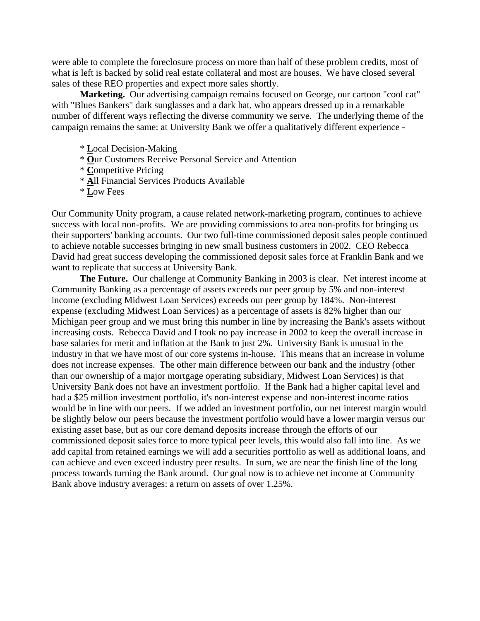were able to complete the foreclosure process on more than half of these problem credits, most of what is left is backed by solid real estate collateral and most are houses. We have closed several sales of these REO properties and expect more sales shortly.

 **Marketing.** Our advertising campaign remains focused on George, our cartoon "cool cat" with "Blues Bankers" dark sunglasses and a dark hat, who appears dressed up in a remarkable number of different ways reflecting the diverse community we serve. The underlying theme of the campaign remains the same: at University Bank we offer a qualitatively different experience -

- \* **L**ocal Decision-Making
- \* **O**ur Customers Receive Personal Service and Attention
- \* **C**ompetitive Pricing
- \* **A**ll Financial Services Products Available
- \* **L**ow Fees

Our Community Unity program, a cause related network-marketing program, continues to achieve success with local non-profits. We are providing commissions to area non-profits for bringing us their supporters' banking accounts. Our two full-time commissioned deposit sales people continued to achieve notable successes bringing in new small business customers in 2002. CEO Rebecca David had great success developing the commissioned deposit sales force at Franklin Bank and we want to replicate that success at University Bank.

**The Future.** Our challenge at Community Banking in 2003 is clear. Net interest income at Community Banking as a percentage of assets exceeds our peer group by 5% and non-interest income (excluding Midwest Loan Services) exceeds our peer group by 184%. Non-interest expense (excluding Midwest Loan Services) as a percentage of assets is 82% higher than our Michigan peer group and we must bring this number in line by increasing the Bank's assets without increasing costs. Rebecca David and I took no pay increase in 2002 to keep the overall increase in base salaries for merit and inflation at the Bank to just 2%. University Bank is unusual in the industry in that we have most of our core systems in-house. This means that an increase in volume does not increase expenses. The other main difference between our bank and the industry (other than our ownership of a major mortgage operating subsidiary, Midwest Loan Services) is that University Bank does not have an investment portfolio. If the Bank had a higher capital level and had a \$25 million investment portfolio, it's non-interest expense and non-interest income ratios would be in line with our peers. If we added an investment portfolio, our net interest margin would be slightly below our peers because the investment portfolio would have a lower margin versus our existing asset base, but as our core demand deposits increase through the efforts of our commissioned deposit sales force to more typical peer levels, this would also fall into line. As we add capital from retained earnings we will add a securities portfolio as well as additional loans, and can achieve and even exceed industry peer results. In sum, we are near the finish line of the long process towards turning the Bank around. Our goal now is to achieve net income at Community Bank above industry averages: a return on assets of over 1.25%.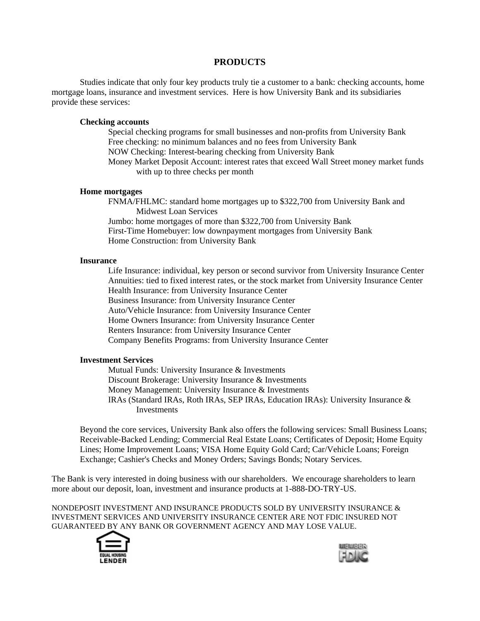### **PRODUCTS**

 Studies indicate that only four key products truly tie a customer to a bank: checking accounts, home mortgage loans, insurance and investment services. Here is how University Bank and its subsidiaries provide these services:

#### **Checking accounts**

Special checking programs for small businesses and non-profits from University Bank Free checking: no minimum balances and no fees from University Bank NOW Checking: Interest-bearing checking from University Bank Money Market Deposit Account: interest rates that exceed Wall Street money market funds with up to three checks per month

#### **Home mortgages**

FNMA/FHLMC: standard home mortgages up to \$322,700 from University Bank and Midwest Loan Services Jumbo: home mortgages of more than \$322,700 from University Bank First-Time Homebuyer: low downpayment mortgages from University Bank

Home Construction: from University Bank

#### **Insurance**

Life Insurance: individual, key person or second survivor from University Insurance Center Annuities: tied to fixed interest rates, or the stock market from University Insurance Center Health Insurance: from University Insurance Center Business Insurance: from University Insurance Center Auto/Vehicle Insurance: from University Insurance Center Home Owners Insurance: from University Insurance Center Renters Insurance: from University Insurance Center Company Benefits Programs: from University Insurance Center

#### **Investment Services**

Mutual Funds: University Insurance & Investments Discount Brokerage: University Insurance & Investments Money Management: University Insurance & Investments IRAs (Standard IRAs, Roth IRAs, SEP IRAs, Education IRAs): University Insurance & Investments

Beyond the core services, University Bank also offers the following services: Small Business Loans; Receivable-Backed Lending; Commercial Real Estate Loans; Certificates of Deposit; Home Equity Lines; Home Improvement Loans; VISA Home Equity Gold Card; Car/Vehicle Loans; Foreign Exchange; Cashier's Checks and Money Orders; Savings Bonds; Notary Services.

The Bank is very interested in doing business with our shareholders. We encourage shareholders to learn more about our deposit, loan, investment and insurance products at 1-888-DO-TRY-US.

NONDEPOSIT INVESTMENT AND INSURANCE PRODUCTS SOLD BY UNIVERSITY INSURANCE  $\&$ INVESTMENT SERVICES AND UNIVERSITY INSURANCE CENTER ARE NOT FDIC INSURED NOT GUARANTEED BY ANY BANK OR GOVERNMENT AGENCY AND MAY LOSE VALUE.



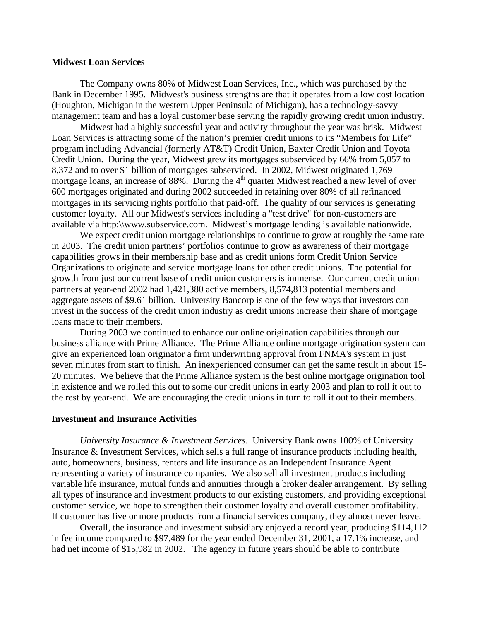#### **Midwest Loan Services**

The Company owns 80% of Midwest Loan Services, Inc., which was purchased by the Bank in December 1995. Midwest's business strengths are that it operates from a low cost location (Houghton, Michigan in the western Upper Peninsula of Michigan), has a technology-savvy management team and has a loyal customer base serving the rapidly growing credit union industry.

 Midwest had a highly successful year and activity throughout the year was brisk. Midwest Loan Services is attracting some of the nation's premier credit unions to its "Members for Life" program including Advancial (formerly AT&T) Credit Union, Baxter Credit Union and Toyota Credit Union. During the year, Midwest grew its mortgages subserviced by 66% from 5,057 to 8,372 and to over \$1 billion of mortgages subserviced. In 2002, Midwest originated 1,769 mortgage loans, an increase of 88%. During the  $4<sup>th</sup>$  quarter Midwest reached a new level of over 600 mortgages originated and during 2002 succeeded in retaining over 80% of all refinanced mortgages in its servicing rights portfolio that paid-off. The quality of our services is generating customer loyalty. All our Midwest's services including a "test drive" for non-customers are available via http:\\www.subservice.com. Midwest's mortgage lending is available nationwide.

We expect credit union mortgage relationships to continue to grow at roughly the same rate in 2003. The credit union partners' portfolios continue to grow as awareness of their mortgage capabilities grows in their membership base and as credit unions form Credit Union Service Organizations to originate and service mortgage loans for other credit unions. The potential for growth from just our current base of credit union customers is immense. Our current credit union partners at year-end 2002 had 1,421,380 active members, 8,574,813 potential members and aggregate assets of \$9.61 billion. University Bancorp is one of the few ways that investors can invest in the success of the credit union industry as credit unions increase their share of mortgage loans made to their members.

 During 2003 we continued to enhance our online origination capabilities through our business alliance with Prime Alliance. The Prime Alliance online mortgage origination system can give an experienced loan originator a firm underwriting approval from FNMA's system in just seven minutes from start to finish. An inexperienced consumer can get the same result in about 15- 20 minutes. We believe that the Prime Alliance system is the best online mortgage origination tool in existence and we rolled this out to some our credit unions in early 2003 and plan to roll it out to the rest by year-end. We are encouraging the credit unions in turn to roll it out to their members.

#### **Investment and Insurance Activities**

*University Insurance & Investment Services*. University Bank owns 100% of University Insurance & Investment Services, which sells a full range of insurance products including health, auto, homeowners, business, renters and life insurance as an Independent Insurance Agent representing a variety of insurance companies. We also sell all investment products including variable life insurance, mutual funds and annuities through a broker dealer arrangement. By selling all types of insurance and investment products to our existing customers, and providing exceptional customer service, we hope to strengthen their customer loyalty and overall customer profitability. If customer has five or more products from a financial services company, they almost never leave.

Overall, the insurance and investment subsidiary enjoyed a record year, producing \$114,112 in fee income compared to \$97,489 for the year ended December 31, 2001, a 17.1% increase, and had net income of \$15,982 in 2002. The agency in future years should be able to contribute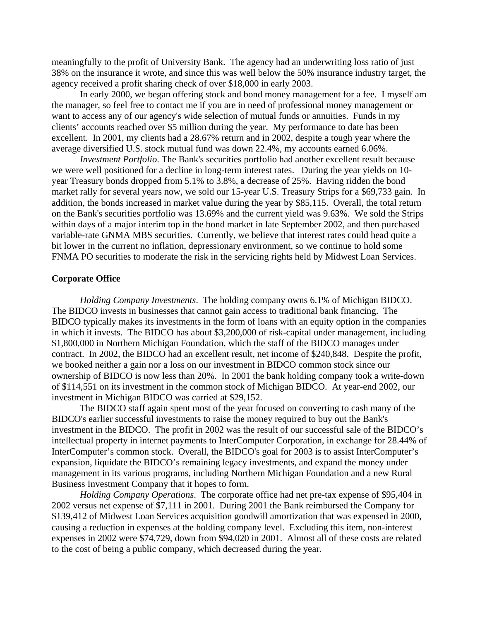meaningfully to the profit of University Bank. The agency had an underwriting loss ratio of just 38% on the insurance it wrote, and since this was well below the 50% insurance industry target, the agency received a profit sharing check of over \$18,000 in early 2003.

In early 2000, we began offering stock and bond money management for a fee. I myself am the manager, so feel free to contact me if you are in need of professional money management or want to access any of our agency's wide selection of mutual funds or annuities. Funds in my clients' accounts reached over \$5 million during the year. My performance to date has been excellent. In 2001, my clients had a 28.67% return and in 2002, despite a tough year where the average diversified U.S. stock mutual fund was down 22.4%, my accounts earned 6.06%.

*Investment Portfolio*. The Bank's securities portfolio had another excellent result because we were well positioned for a decline in long-term interest rates. During the year yields on 10 year Treasury bonds dropped from 5.1% to 3.8%, a decrease of 25%. Having ridden the bond market rally for several years now, we sold our 15-year U.S. Treasury Strips for a \$69,733 gain. In addition, the bonds increased in market value during the year by \$85,115. Overall, the total return on the Bank's securities portfolio was 13.69% and the current yield was 9.63%. We sold the Strips within days of a major interim top in the bond market in late September 2002, and then purchased variable-rate GNMA MBS securities. Currently, we believe that interest rates could head quite a bit lower in the current no inflation, depressionary environment, so we continue to hold some FNMA PO securities to moderate the risk in the servicing rights held by Midwest Loan Services.

#### **Corporate Office**

*Holding Company Investments*. The holding company owns 6.1% of Michigan BIDCO. The BIDCO invests in businesses that cannot gain access to traditional bank financing. The BIDCO typically makes its investments in the form of loans with an equity option in the companies in which it invests. The BIDCO has about \$3,200,000 of risk-capital under management, including \$1,800,000 in Northern Michigan Foundation, which the staff of the BIDCO manages under contract. In 2002, the BIDCO had an excellent result, net income of \$240,848. Despite the profit, we booked neither a gain nor a loss on our investment in BIDCO common stock since our ownership of BIDCO is now less than 20%. In 2001 the bank holding company took a write-down of \$114,551 on its investment in the common stock of Michigan BIDCO. At year-end 2002, our investment in Michigan BIDCO was carried at \$29,152.

 The BIDCO staff again spent most of the year focused on converting to cash many of the BIDCO's earlier successful investments to raise the money required to buy out the Bank's investment in the BIDCO. The profit in 2002 was the result of our successful sale of the BIDCO's intellectual property in internet payments to InterComputer Corporation, in exchange for 28.44% of InterComputer's common stock. Overall, the BIDCO's goal for 2003 is to assist InterComputer's expansion, liquidate the BIDCO's remaining legacy investments, and expand the money under management in its various programs, including Northern Michigan Foundation and a new Rural Business Investment Company that it hopes to form.

*Holding Company Operations*. The corporate office had net pre-tax expense of \$95,404 in 2002 versus net expense of \$7,111 in 2001. During 2001 the Bank reimbursed the Company for \$139,412 of Midwest Loan Services acquisition goodwill amortization that was expensed in 2000, causing a reduction in expenses at the holding company level. Excluding this item, non-interest expenses in 2002 were \$74,729, down from \$94,020 in 2001. Almost all of these costs are related to the cost of being a public company, which decreased during the year.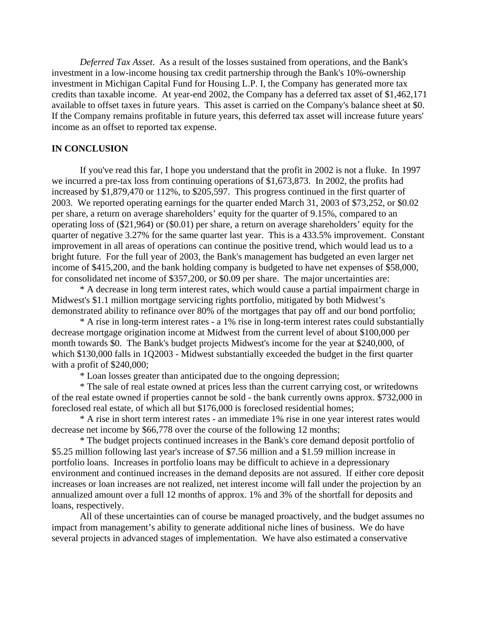*Deferred Tax Asset*. As a result of the losses sustained from operations, and the Bank's investment in a low-income housing tax credit partnership through the Bank's 10%-ownership investment in Michigan Capital Fund for Housing L.P. I, the Company has generated more tax credits than taxable income. At year-end 2002, the Company has a deferred tax asset of \$1,462,171 available to offset taxes in future years. This asset is carried on the Company's balance sheet at \$0. If the Company remains profitable in future years, this deferred tax asset will increase future years' income as an offset to reported tax expense.

## **IN CONCLUSION**

 If you've read this far, I hope you understand that the profit in 2002 is not a fluke. In 1997 we incurred a pre-tax loss from continuing operations of \$1,673,873. In 2002, the profits had increased by \$1,879,470 or 112%, to \$205,597. This progress continued in the first quarter of 2003. We reported operating earnings for the quarter ended March 31, 2003 of \$73,252, or \$0.02 per share, a return on average shareholders' equity for the quarter of 9.15%, compared to an operating loss of (\$21,964) or (\$0.01) per share, a return on average shareholders' equity for the quarter of negative 3.27% for the same quarter last year. This is a 433.5% improvement. Constant improvement in all areas of operations can continue the positive trend, which would lead us to a bright future. For the full year of 2003, the Bank's management has budgeted an even larger net income of \$415,200, and the bank holding company is budgeted to have net expenses of \$58,000, for consolidated net income of \$357,200, or \$0.09 per share. The major uncertainties are:

 \* A decrease in long term interest rates, which would cause a partial impairment charge in Midwest's \$1.1 million mortgage servicing rights portfolio, mitigated by both Midwest's demonstrated ability to refinance over 80% of the mortgages that pay off and our bond portfolio;

 \* A rise in long-term interest rates - a 1% rise in long-term interest rates could substantially decrease mortgage origination income at Midwest from the current level of about \$100,000 per month towards \$0. The Bank's budget projects Midwest's income for the year at \$240,000, of which \$130,000 falls in 1Q2003 - Midwest substantially exceeded the budget in the first quarter with a profit of \$240,000;

\* Loan losses greater than anticipated due to the ongoing depression;

 \* The sale of real estate owned at prices less than the current carrying cost, or writedowns of the real estate owned if properties cannot be sold - the bank currently owns approx. \$732,000 in foreclosed real estate, of which all but \$176,000 is foreclosed residential homes;

 \* A rise in short term interest rates - an immediate 1% rise in one year interest rates would decrease net income by \$66,778 over the course of the following 12 months;

 \* The budget projects continued increases in the Bank's core demand deposit portfolio of \$5.25 million following last year's increase of \$7.56 million and a \$1.59 million increase in portfolio loans. Increases in portfolio loans may be difficult to achieve in a depressionary environment and continued increases in the demand deposits are not assured. If either core deposit increases or loan increases are not realized, net interest income will fall under the projection by an annualized amount over a full 12 months of approx. 1% and 3% of the shortfall for deposits and loans, respectively.

 All of these uncertainties can of course be managed proactively, and the budget assumes no impact from management's ability to generate additional niche lines of business. We do have several projects in advanced stages of implementation. We have also estimated a conservative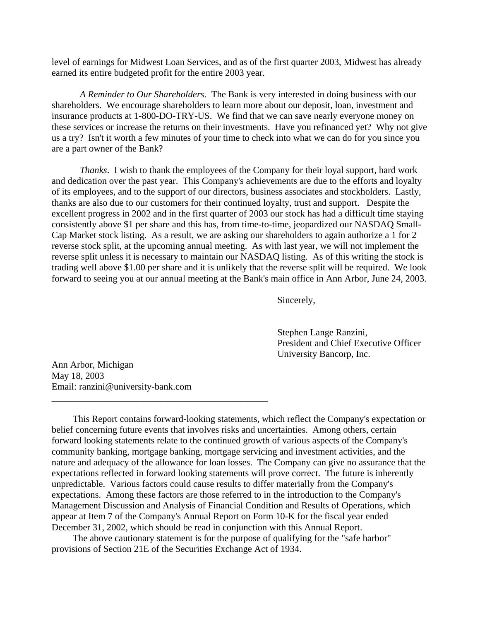level of earnings for Midwest Loan Services, and as of the first quarter 2003, Midwest has already earned its entire budgeted profit for the entire 2003 year.

*A Reminder to Our Shareholders*. The Bank is very interested in doing business with our shareholders. We encourage shareholders to learn more about our deposit, loan, investment and insurance products at 1-800-DO-TRY-US. We find that we can save nearly everyone money on these services or increase the returns on their investments. Have you refinanced yet? Why not give us a try? Isn't it worth a few minutes of your time to check into what we can do for you since you are a part owner of the Bank?

*Thanks*. I wish to thank the employees of the Company for their loyal support, hard work and dedication over the past year. This Company's achievements are due to the efforts and loyalty of its employees, and to the support of our directors, business associates and stockholders. Lastly, thanks are also due to our customers for their continued loyalty, trust and support. Despite the excellent progress in 2002 and in the first quarter of 2003 our stock has had a difficult time staying consistently above \$1 per share and this has, from time-to-time, jeopardized our NASDAQ Small-Cap Market stock listing. As a result, we are asking our shareholders to again authorize a 1 for 2 reverse stock split, at the upcoming annual meeting. As with last year, we will not implement the reverse split unless it is necessary to maintain our NASDAQ listing. As of this writing the stock is trading well above \$1.00 per share and it is unlikely that the reverse split will be required. We look forward to seeing you at our annual meeting at the Bank's main office in Ann Arbor, June 24, 2003.

Sincerely,

 Stephen Lange Ranzini, President and Chief Executive Officer University Bancorp, Inc.

Ann Arbor, Michigan May 18, 2003 Email: ranzini@university-bank.com

\_\_\_\_\_\_\_\_\_\_\_\_\_\_\_\_\_\_\_\_\_\_\_\_\_\_\_\_\_\_\_\_\_\_\_\_\_\_\_\_\_\_\_\_\_\_

 This Report contains forward-looking statements, which reflect the Company's expectation or belief concerning future events that involves risks and uncertainties. Among others, certain forward looking statements relate to the continued growth of various aspects of the Company's community banking, mortgage banking, mortgage servicing and investment activities, and the nature and adequacy of the allowance for loan losses. The Company can give no assurance that the expectations reflected in forward looking statements will prove correct. The future is inherently unpredictable. Various factors could cause results to differ materially from the Company's expectations. Among these factors are those referred to in the introduction to the Company's Management Discussion and Analysis of Financial Condition and Results of Operations, which appear at Item 7 of the Company's Annual Report on Form 10-K for the fiscal year ended December 31, 2002, which should be read in conjunction with this Annual Report.

 The above cautionary statement is for the purpose of qualifying for the "safe harbor" provisions of Section 21E of the Securities Exchange Act of 1934.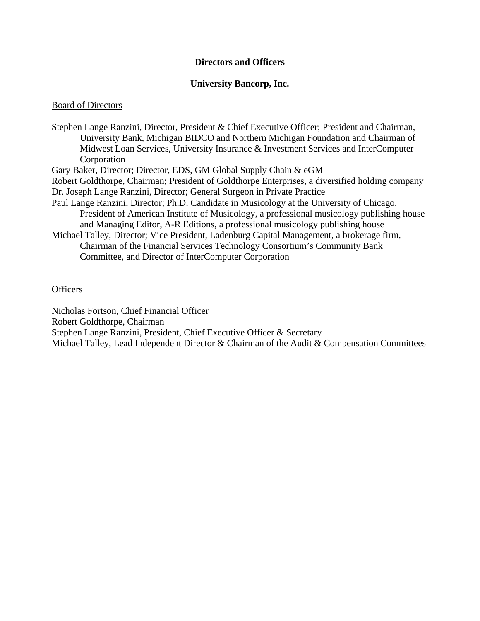# **Directors and Officers**

# **University Bancorp, Inc.**

# Board of Directors

Stephen Lange Ranzini, Director, President & Chief Executive Officer; President and Chairman, University Bank, Michigan BIDCO and Northern Michigan Foundation and Chairman of Midwest Loan Services, University Insurance & Investment Services and InterComputer Corporation Gary Baker, Director; Director, EDS, GM Global Supply Chain & eGM Robert Goldthorpe, Chairman; President of Goldthorpe Enterprises, a diversified holding company Dr. Joseph Lange Ranzini, Director; General Surgeon in Private Practice Paul Lange Ranzini, Director; Ph.D. Candidate in Musicology at the University of Chicago, President of American Institute of Musicology, a professional musicology publishing house and Managing Editor, A-R Editions, a professional musicology publishing house Michael Talley, Director; Vice President, Ladenburg Capital Management, a brokerage firm, Chairman of the Financial Services Technology Consortium's Community Bank Committee, and Director of InterComputer Corporation

# **Officers**

Nicholas Fortson, Chief Financial Officer Robert Goldthorpe, Chairman Stephen Lange Ranzini, President, Chief Executive Officer & Secretary Michael Talley, Lead Independent Director & Chairman of the Audit & Compensation Committees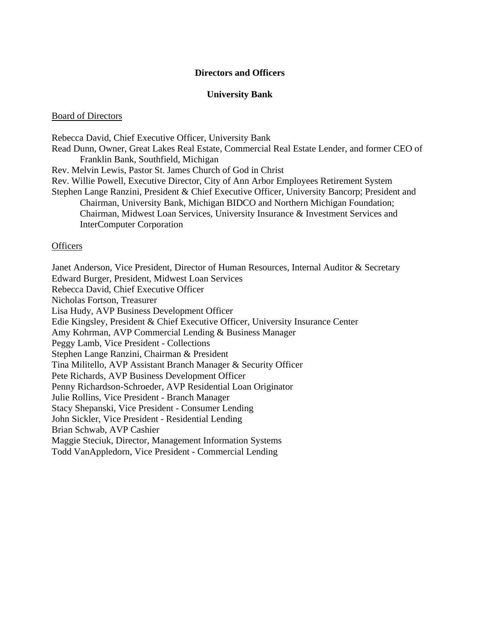# **Directors and Officers**

## **University Bank**

#### Board of Directors

Rebecca David, Chief Executive Officer, University Bank Read Dunn, Owner, Great Lakes Real Estate, Commercial Real Estate Lender, and former CEO of Franklin Bank, Southfield, Michigan Rev. Melvin Lewis, Pastor St. James Church of God in Christ Rev. Willie Powell, Executive Director, City of Ann Arbor Employees Retirement System Stephen Lange Ranzini, President & Chief Executive Officer, University Bancorp; President and Chairman, University Bank, Michigan BIDCO and Northern Michigan Foundation; Chairman, Midwest Loan Services, University Insurance & Investment Services and InterComputer Corporation

#### **Officers**

Janet Anderson, Vice President, Director of Human Resources, Internal Auditor & Secretary Edward Burger, President, Midwest Loan Services Rebecca David, Chief Executive Officer Nicholas Fortson, Treasurer Lisa Hudy, AVP Business Development Officer Edie Kingsley, President & Chief Executive Officer, University Insurance Center Amy Kohrman, AVP Commercial Lending & Business Manager Peggy Lamb, Vice President - Collections Stephen Lange Ranzini, Chairman & President Tina Militello, AVP Assistant Branch Manager & Security Officer Pete Richards, AVP Business Development Officer Penny Richardson-Schroeder, AVP Residential Loan Originator Julie Rollins, Vice President - Branch Manager Stacy Shepanski, Vice President - Consumer Lending John Sickler, Vice President - Residential Lending Brian Schwab, AVP Cashier Maggie Steciuk, Director, Management Information Systems Todd VanAppledorn, Vice President - Commercial Lending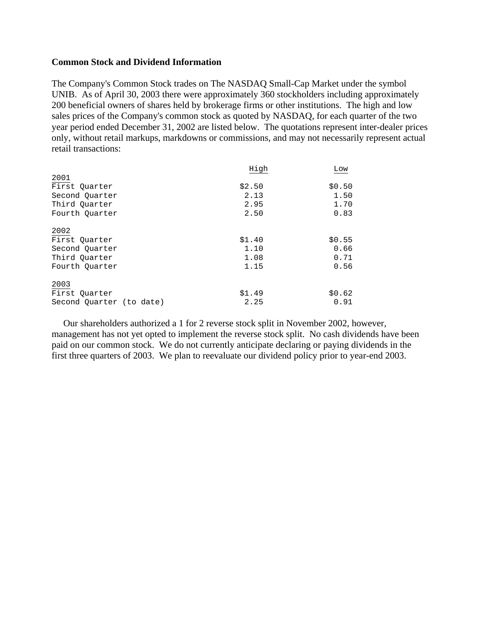# **Common Stock and Dividend Information**

The Company's Common Stock trades on The NASDAQ Small-Cap Market under the symbol UNIB. As of April 30, 2003 there were approximately 360 stockholders including approximately 200 beneficial owners of shares held by brokerage firms or other institutions. The high and low sales prices of the Company's common stock as quoted by NASDAQ, for each quarter of the two year period ended December 31, 2002 are listed below. The quotations represent inter-dealer prices only, without retail markups, markdowns or commissions, and may not necessarily represent actual retail transactions:

|                          | High   | Low    |
|--------------------------|--------|--------|
| 2001                     |        |        |
| First Quarter            | \$2.50 | \$0.50 |
| Second Quarter           | 2.13   | 1.50   |
| Third Ouarter            | 2.95   | 1.70   |
| Fourth Ouarter           | 2.50   | 0.83   |
| 2002                     |        |        |
| First Quarter            | \$1.40 | \$0.55 |
| Second Quarter           | 1.10   | 0.66   |
| Third Ouarter            | 1.08   | 0.71   |
| Fourth Ouarter           | 1.15   | 0.56   |
| 2003                     |        |        |
| First Quarter            | \$1.49 | \$0.62 |
| Second Quarter (to date) | 2.25   | 0.91   |

 Our shareholders authorized a 1 for 2 reverse stock split in November 2002, however, management has not yet opted to implement the reverse stock split. No cash dividends have been paid on our common stock. We do not currently anticipate declaring or paying dividends in the first three quarters of 2003. We plan to reevaluate our dividend policy prior to year-end 2003.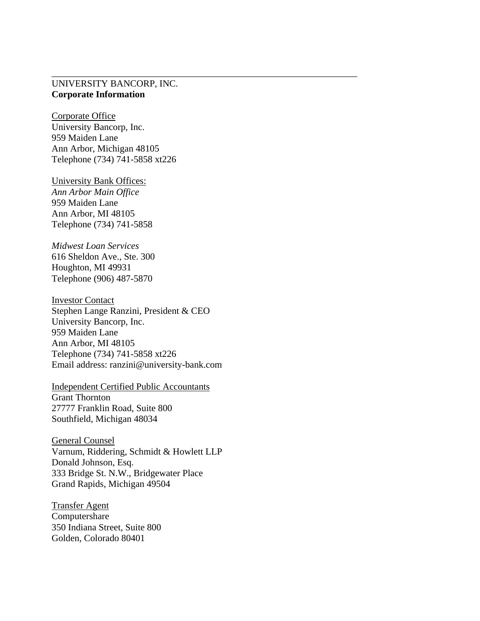# UNIVERSITY BANCORP, INC. **Corporate Information**

\_\_\_\_\_\_\_\_\_\_\_\_\_\_\_\_\_\_\_\_\_\_\_\_\_\_\_\_\_\_\_\_\_\_\_\_\_\_\_\_\_\_\_\_\_\_\_\_\_\_\_\_\_\_\_\_\_\_\_\_\_\_\_\_\_

Corporate Office University Bancorp, Inc. 959 Maiden Lane Ann Arbor, Michigan 48105 Telephone (734) 741-5858 xt226

University Bank Offices: *Ann Arbor Main Office*  959 Maiden Lane Ann Arbor, MI 48105 Telephone (734) 741-5858

*Midwest Loan Services*  616 Sheldon Ave., Ste. 300 Houghton, MI 49931 Telephone (906) 487-5870

Investor Contact Stephen Lange Ranzini, President & CEO University Bancorp, Inc. 959 Maiden Lane Ann Arbor, MI 48105 Telephone (734) 741-5858 xt226 Email address: ranzini@university-bank.com

Independent Certified Public Accountants Grant Thornton 27777 Franklin Road, Suite 800 Southfield, Michigan 48034

General Counsel Varnum, Riddering, Schmidt & Howlett LLP Donald Johnson, Esq. 333 Bridge St. N.W., Bridgewater Place Grand Rapids, Michigan 49504

Transfer Agent Computershare 350 Indiana Street, Suite 800 Golden, Colorado 80401